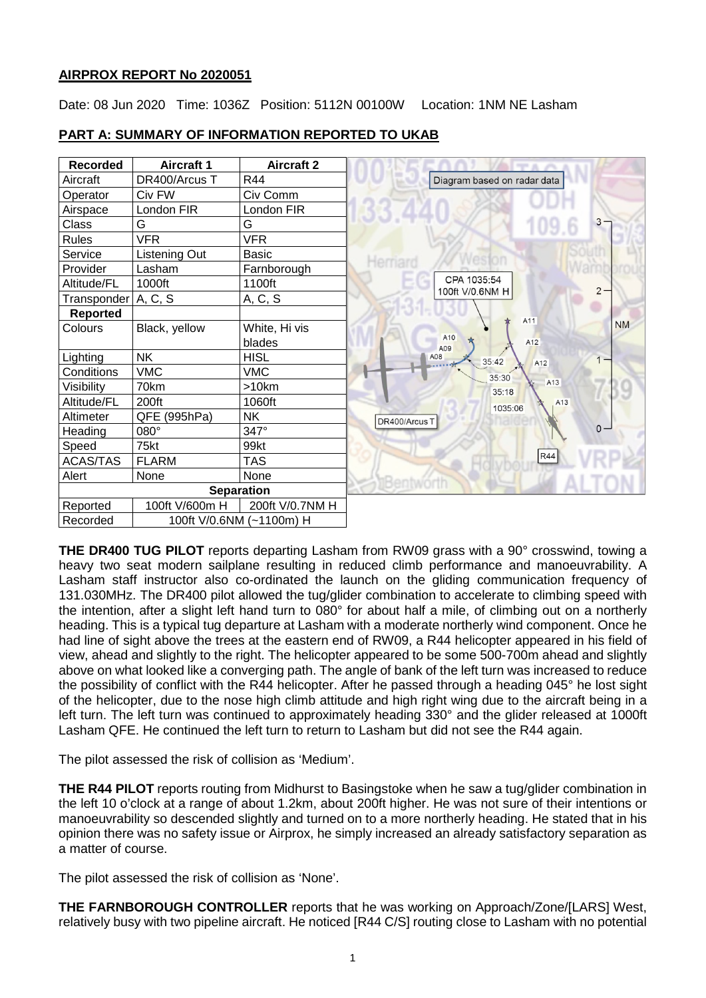### **AIRPROX REPORT No 2020051**

Date: 08 Jun 2020 Time: 1036Z Position: 5112N 00100W Location: 1NM NE Lasham

| <b>Recorded</b>     | <b>Aircraft 1</b>        | <b>Aircraft 2</b> |                                 |           |
|---------------------|--------------------------|-------------------|---------------------------------|-----------|
| Aircraft            | DR400/Arcus T            | R44               | Diagram based on radar data     |           |
| Operator            | Civ FW                   | Civ Comm          |                                 |           |
| Airspace            | London FIR               | London FIR        |                                 |           |
| Class               | G                        | G                 | 3                               |           |
| <b>Rules</b>        | <b>VFR</b>               | <b>VFR</b>        |                                 |           |
| Service             | Listening Out            | <b>Basic</b>      |                                 |           |
| Provider            | Lasham                   | Farnborough       | Herriarr                        |           |
| Altitude/FL         | 1000ft                   | 1100ft            | CPA 1035:54                     | $2 -$     |
| Transponder A, C, S |                          | A, C, S           | 100ft V/0.6NM H                 |           |
| <b>Reported</b>     |                          |                   | A11                             |           |
| Colours             | Black, yellow            | White, Hi vis     |                                 | <b>NM</b> |
|                     |                          | blades            | A10<br>A12<br>A09               |           |
| Lighting            | <b>NK</b>                | <b>HISL</b>       | A08<br>35:42<br>A <sub>12</sub> | $1 -$     |
| Conditions          | <b>VMC</b>               | <b>VMC</b>        | 35:30                           |           |
| Visibility          | 70km                     | >10km             | A <sub>13</sub><br>35:18        |           |
| Altitude/FL         | 200ft                    | 1060ft            | A13<br>1035:06                  |           |
| Altimeter           | QFE (995hPa)             | NΚ                | DR400/Arcus T                   |           |
| Heading             | 080°                     | 347°              |                                 | $0 -$     |
| Speed               | 75kt                     | 99kt              |                                 |           |
| <b>ACAS/TAS</b>     | <b>FLARM</b>             | TAS               | R44                             |           |
| Alert               | None                     | None              |                                 |           |
|                     |                          | <b>Separation</b> |                                 |           |
| Reported            | 100ft V/600m H           | 200ft V/0.7NM H   |                                 |           |
| Recorded            | 100ft V/0.6NM (~1100m) H |                   |                                 |           |

### **PART A: SUMMARY OF INFORMATION REPORTED TO UKAB**

**THE DR400 TUG PILOT** reports departing Lasham from RW09 grass with a 90° crosswind, towing a heavy two seat modern sailplane resulting in reduced climb performance and manoeuvrability. A Lasham staff instructor also co-ordinated the launch on the gliding communication frequency of 131.030MHz. The DR400 pilot allowed the tug/glider combination to accelerate to climbing speed with the intention, after a slight left hand turn to 080° for about half a mile, of climbing out on a northerly heading. This is a typical tug departure at Lasham with a moderate northerly wind component. Once he had line of sight above the trees at the eastern end of RW09, a R44 helicopter appeared in his field of view, ahead and slightly to the right. The helicopter appeared to be some 500-700m ahead and slightly above on what looked like a converging path. The angle of bank of the left turn was increased to reduce the possibility of conflict with the R44 helicopter. After he passed through a heading 045° he lost sight of the helicopter, due to the nose high climb attitude and high right wing due to the aircraft being in a left turn. The left turn was continued to approximately heading 330° and the glider released at 1000ft Lasham QFE. He continued the left turn to return to Lasham but did not see the R44 again.

The pilot assessed the risk of collision as 'Medium'.

**THE R44 PILOT** reports routing from Midhurst to Basingstoke when he saw a tug/glider combination in the left 10 o'clock at a range of about 1.2km, about 200ft higher. He was not sure of their intentions or manoeuvrability so descended slightly and turned on to a more northerly heading. He stated that in his opinion there was no safety issue or Airprox, he simply increased an already satisfactory separation as a matter of course.

The pilot assessed the risk of collision as 'None'.

**THE FARNBOROUGH CONTROLLER** reports that he was working on Approach/Zone/[LARS] West, relatively busy with two pipeline aircraft. He noticed [R44 C/S] routing close to Lasham with no potential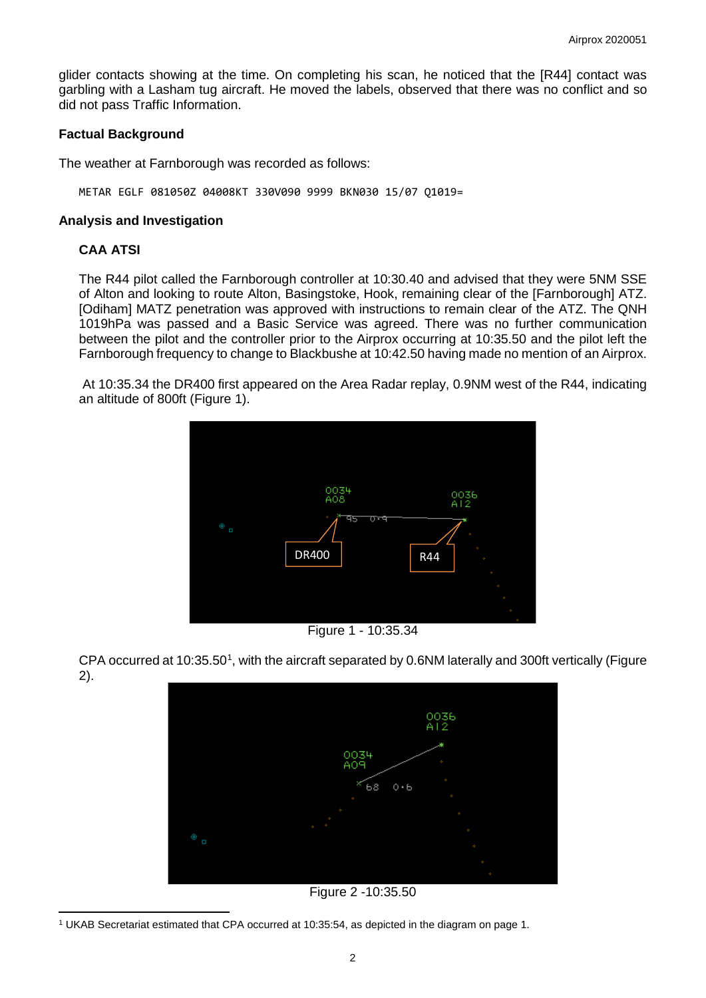glider contacts showing at the time. On completing his scan, he noticed that the [R44] contact was garbling with a Lasham tug aircraft. He moved the labels, observed that there was no conflict and so did not pass Traffic Information.

## **Factual Background**

The weather at Farnborough was recorded as follows:

METAR EGLF 081050Z 04008KT 330V090 9999 BKN030 15/07 Q1019=

#### **Analysis and Investigation**

### **CAA ATSI**

The R44 pilot called the Farnborough controller at 10:30.40 and advised that they were 5NM SSE of Alton and looking to route Alton, Basingstoke, Hook, remaining clear of the [Farnborough] ATZ. [Odiham] MATZ penetration was approved with instructions to remain clear of the ATZ. The QNH 1019hPa was passed and a Basic Service was agreed. There was no further communication between the pilot and the controller prior to the Airprox occurring at 10:35.50 and the pilot left the Farnborough frequency to change to Blackbushe at 10:42.50 having made no mention of an Airprox.

At 10:35.34 the DR400 first appeared on the Area Radar replay, 0.9NM west of the R44, indicating an altitude of 800ft (Figure 1).



Figure 1 - 10:35.34

CPA occurred at [1](#page-1-0)0:35.50<sup>1</sup>, with the aircraft separated by 0.6NM laterally and 300ft vertically (Figure 2).



Figure 2 -10:35.50

<span id="page-1-0"></span>l <sup>1</sup> UKAB Secretariat estimated that CPA occurred at 10:35:54, as depicted in the diagram on page 1.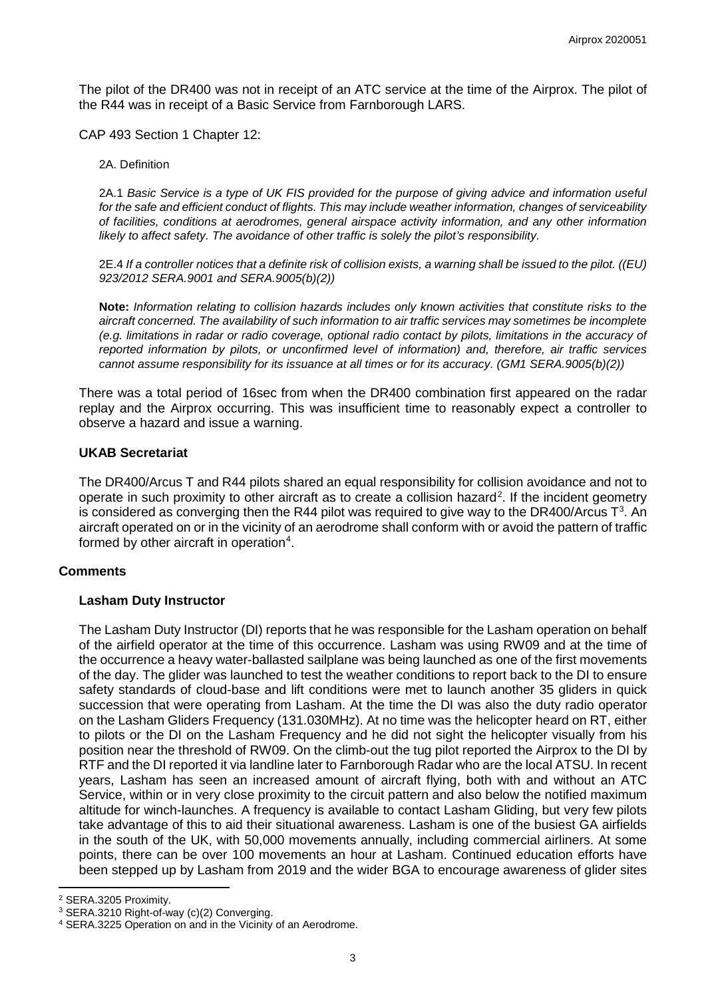The pilot of the DR400 was not in receipt of an ATC service at the time of the Airprox. The pilot of the R44 was in receipt of a Basic Service from Farnborough LARS.

CAP 493 Section 1 Chapter 12:

2A. Definition

2A.1 *Basic Service is a type of UK FIS provided for the purpose of giving advice and information useful for the safe and efficient conduct of flights. This may include weather information, changes of serviceability of facilities, conditions at aerodromes, general airspace activity information, and any other information likely to affect safety. The avoidance of other traffic is solely the pilot's responsibility.*

2E.4 *If a controller notices that a definite risk of collision exists, a warning shall be issued to the pilot. ((EU) 923/2012 SERA.9001 and SERA.9005(b)(2))*

**Note:** *Information relating to collision hazards includes only known activities that constitute risks to the aircraft concerned. The availability of such information to air traffic services may sometimes be incomplete (e.g. limitations in radar or radio coverage, optional radio contact by pilots, limitations in the accuracy of reported information by pilots, or unconfirmed level of information) and, therefore, air traffic services cannot assume responsibility for its issuance at all times or for its accuracy. (GM1 SERA.9005(b)(2))*

There was a total period of 16sec from when the DR400 combination first appeared on the radar replay and the Airprox occurring. This was insufficient time to reasonably expect a controller to observe a hazard and issue a warning.

#### **UKAB Secretariat**

The DR400/Arcus T and R44 pilots shared an equal responsibility for collision avoidance and not to operate in such proximity to other aircraft as to create a collision hazard<sup>[2](#page-2-0)</sup>. If the incident geometry is considered as converging then the R44 pilot was required to give way to the DR400/Arcus T<sup>[3](#page-2-1)</sup>. An aircraft operated on or in the vicinity of an aerodrome shall conform with or avoid the pattern of traffic formed by other aircraft in operation<sup>[4](#page-2-2)</sup>.

#### **Comments**

### **Lasham Duty Instructor**

The Lasham Duty Instructor (DI) reports that he was responsible for the Lasham operation on behalf of the airfield operator at the time of this occurrence. Lasham was using RW09 and at the time of the occurrence a heavy water-ballasted sailplane was being launched as one of the first movements of the day. The glider was launched to test the weather conditions to report back to the DI to ensure safety standards of cloud-base and lift conditions were met to launch another 35 gliders in quick succession that were operating from Lasham. At the time the DI was also the duty radio operator on the Lasham Gliders Frequency (131.030MHz). At no time was the helicopter heard on RT, either to pilots or the DI on the Lasham Frequency and he did not sight the helicopter visually from his position near the threshold of RW09. On the climb-out the tug pilot reported the Airprox to the DI by RTF and the DI reported it via landline later to Farnborough Radar who are the local ATSU. In recent years, Lasham has seen an increased amount of aircraft flying, both with and without an ATC Service, within or in very close proximity to the circuit pattern and also below the notified maximum altitude for winch-launches. A frequency is available to contact Lasham Gliding, but very few pilots take advantage of this to aid their situational awareness. Lasham is one of the busiest GA airfields in the south of the UK, with 50,000 movements annually, including commercial airliners. At some points, there can be over 100 movements an hour at Lasham. Continued education efforts have been stepped up by Lasham from 2019 and the wider BGA to encourage awareness of glider sites

l

<span id="page-2-0"></span>

<sup>&</sup>lt;sup>2</sup> SERA.3205 Proximity.<br><sup>3</sup> SERA.3210 Right-of-way (c)(2) Converging.

<span id="page-2-2"></span><span id="page-2-1"></span><sup>&</sup>lt;sup>4</sup> SERA.3225 Operation on and in the Vicinity of an Aerodrome.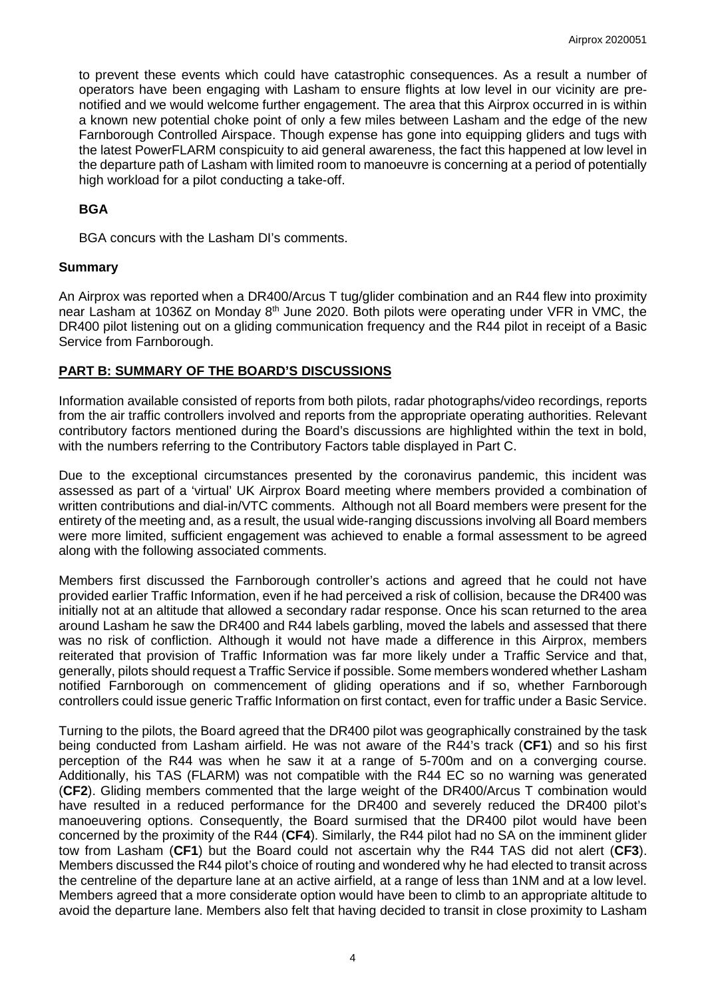to prevent these events which could have catastrophic consequences. As a result a number of operators have been engaging with Lasham to ensure flights at low level in our vicinity are prenotified and we would welcome further engagement. The area that this Airprox occurred in is within a known new potential choke point of only a few miles between Lasham and the edge of the new Farnborough Controlled Airspace. Though expense has gone into equipping gliders and tugs with the latest PowerFLARM conspicuity to aid general awareness, the fact this happened at low level in the departure path of Lasham with limited room to manoeuvre is concerning at a period of potentially high workload for a pilot conducting a take-off.

### **BGA**

BGA concurs with the Lasham DI's comments.

## **Summary**

An Airprox was reported when a DR400/Arcus T tug/glider combination and an R44 flew into proximity near Lasham at 1036Z on Monday  $8<sup>th</sup>$  June 2020. Both pilots were operating under VFR in VMC, the DR400 pilot listening out on a gliding communication frequency and the R44 pilot in receipt of a Basic Service from Farnborough.

# **PART B: SUMMARY OF THE BOARD'S DISCUSSIONS**

Information available consisted of reports from both pilots, radar photographs/video recordings, reports from the air traffic controllers involved and reports from the appropriate operating authorities. Relevant contributory factors mentioned during the Board's discussions are highlighted within the text in bold, with the numbers referring to the Contributory Factors table displayed in Part C.

Due to the exceptional circumstances presented by the coronavirus pandemic, this incident was assessed as part of a 'virtual' UK Airprox Board meeting where members provided a combination of written contributions and dial-in/VTC comments. Although not all Board members were present for the entirety of the meeting and, as a result, the usual wide-ranging discussions involving all Board members were more limited, sufficient engagement was achieved to enable a formal assessment to be agreed along with the following associated comments.

Members first discussed the Farnborough controller's actions and agreed that he could not have provided earlier Traffic Information, even if he had perceived a risk of collision, because the DR400 was initially not at an altitude that allowed a secondary radar response. Once his scan returned to the area around Lasham he saw the DR400 and R44 labels garbling, moved the labels and assessed that there was no risk of confliction. Although it would not have made a difference in this Airprox, members reiterated that provision of Traffic Information was far more likely under a Traffic Service and that, generally, pilots should request a Traffic Service if possible. Some members wondered whether Lasham notified Farnborough on commencement of gliding operations and if so, whether Farnborough controllers could issue generic Traffic Information on first contact, even for traffic under a Basic Service.

Turning to the pilots, the Board agreed that the DR400 pilot was geographically constrained by the task being conducted from Lasham airfield. He was not aware of the R44's track (**CF1**) and so his first perception of the R44 was when he saw it at a range of 5-700m and on a converging course. Additionally, his TAS (FLARM) was not compatible with the R44 EC so no warning was generated (**CF2**). Gliding members commented that the large weight of the DR400/Arcus T combination would have resulted in a reduced performance for the DR400 and severely reduced the DR400 pilot's manoeuvering options. Consequently, the Board surmised that the DR400 pilot would have been concerned by the proximity of the R44 (**CF4**). Similarly, the R44 pilot had no SA on the imminent glider tow from Lasham (**CF1**) but the Board could not ascertain why the R44 TAS did not alert (**CF3**). Members discussed the R44 pilot's choice of routing and wondered why he had elected to transit across the centreline of the departure lane at an active airfield, at a range of less than 1NM and at a low level. Members agreed that a more considerate option would have been to climb to an appropriate altitude to avoid the departure lane. Members also felt that having decided to transit in close proximity to Lasham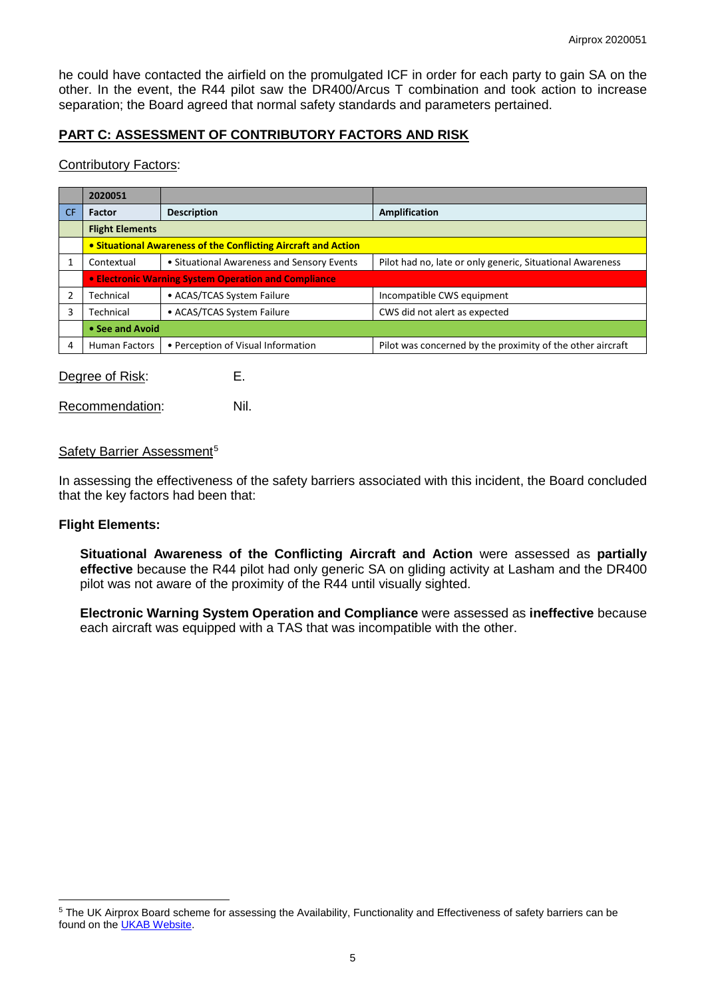he could have contacted the airfield on the promulgated ICF in order for each party to gain SA on the other. In the event, the R44 pilot saw the DR400/Arcus T combination and took action to increase separation; the Board agreed that normal safety standards and parameters pertained.

# **PART C: ASSESSMENT OF CONTRIBUTORY FACTORS AND RISK**

#### Contributory Factors:

|           | 2020051                                                        |                                            |                                                            |  |  |  |  |
|-----------|----------------------------------------------------------------|--------------------------------------------|------------------------------------------------------------|--|--|--|--|
| <b>CF</b> | <b>Factor</b>                                                  | <b>Description</b>                         | Amplification                                              |  |  |  |  |
|           | <b>Flight Elements</b>                                         |                                            |                                                            |  |  |  |  |
|           | • Situational Awareness of the Conflicting Aircraft and Action |                                            |                                                            |  |  |  |  |
|           | Contextual                                                     | • Situational Awareness and Sensory Events | Pilot had no, late or only generic, Situational Awareness  |  |  |  |  |
|           | • Electronic Warning System Operation and Compliance           |                                            |                                                            |  |  |  |  |
|           | Technical                                                      | • ACAS/TCAS System Failure                 | Incompatible CWS equipment                                 |  |  |  |  |
| 3         | Technical                                                      | • ACAS/TCAS System Failure                 | CWS did not alert as expected                              |  |  |  |  |
|           | • See and Avoid                                                |                                            |                                                            |  |  |  |  |
| 4         | <b>Human Factors</b>                                           | • Perception of Visual Information         | Pilot was concerned by the proximity of the other aircraft |  |  |  |  |

Degree of Risk: E.

Recommendation: Nil.

### Safety Barrier Assessment<sup>[5](#page-4-0)</sup>

In assessing the effectiveness of the safety barriers associated with this incident, the Board concluded that the key factors had been that:

#### **Flight Elements:**

 $\overline{\phantom{a}}$ 

**Situational Awareness of the Conflicting Aircraft and Action** were assessed as **partially effective** because the R44 pilot had only generic SA on gliding activity at Lasham and the DR400 pilot was not aware of the proximity of the R44 until visually sighted.

**Electronic Warning System Operation and Compliance** were assessed as **ineffective** because each aircraft was equipped with a TAS that was incompatible with the other.

<span id="page-4-0"></span><sup>&</sup>lt;sup>5</sup> The UK Airprox Board scheme for assessing the Availability, Functionality and Effectiveness of safety barriers can be found on the [UKAB Website.](http://www.airproxboard.org.uk/Learn-more/Airprox-Barrier-Assessment/)